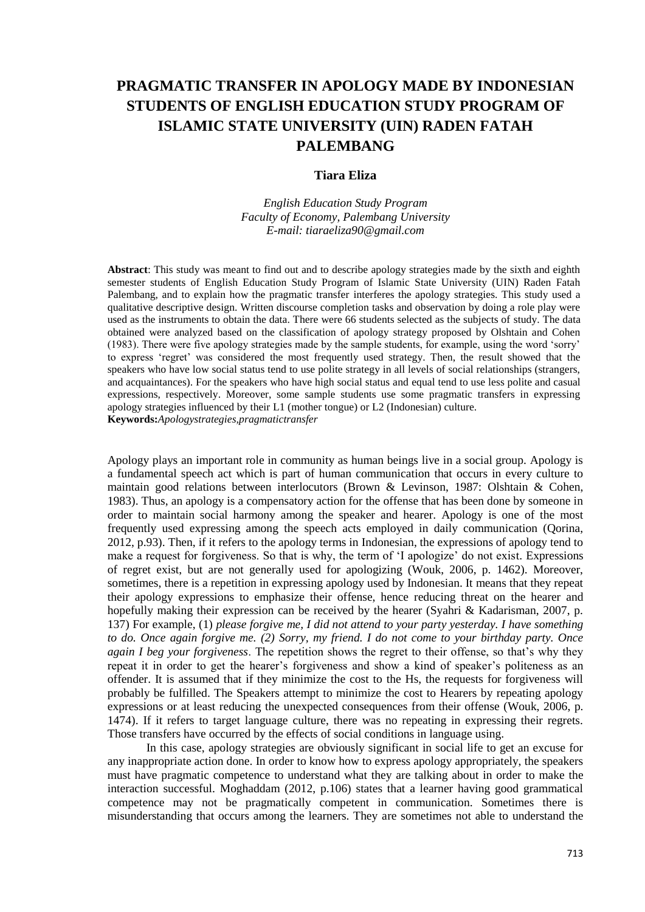# **PRAGMATIC TRANSFER IN APOLOGY MADE BY INDONESIAN STUDENTS OF ENGLISH EDUCATION STUDY PROGRAM OF ISLAMIC STATE UNIVERSITY (UIN) RADEN FATAH PALEMBANG**

## **Tiara Eliza**

*English Education Study Program Faculty of Economy, Palembang University E-mail: tiaraeliza90@gmail.com*

**Abstract**: This study was meant to find out and to describe apology strategies made by the sixth and eighth semester students of English Education Study Program of Islamic State University (UIN) Raden Fatah Palembang, and to explain how the pragmatic transfer interferes the apology strategies. This study used a qualitative descriptive design. Written discourse completion tasks and observation by doing a role play were used as the instruments to obtain the data. There were 66 students selected as the subjects of study. The data obtained were analyzed based on the classification of apology strategy proposed by Olshtain and Cohen (1983). There were five apology strategies made by the sample students, for example, using the word 'sorry' to express 'regret' was considered the most frequently used strategy. Then, the result showed that the speakers who have low social status tend to use polite strategy in all levels of social relationships (strangers, and acquaintances). For the speakers who have high social status and equal tend to use less polite and casual expressions, respectively. Moreover, some sample students use some pragmatic transfers in expressing apology strategies influenced by their L1 (mother tongue) or L2 (Indonesian) culture. **Keywords:***Apologystrategies,pragmatictransfer*

Apology plays an important role in community as human beings live in a social group. Apology is a fundamental speech act which is part of human communication that occurs in every culture to maintain good relations between interlocutors (Brown & Levinson, 1987: Olshtain & Cohen, 1983). Thus, an apology is a compensatory action for the offense that has been done by someone in order to maintain social harmony among the speaker and hearer. Apology is one of the most frequently used expressing among the speech acts employed in daily communication (Qorina, 2012, p.93). Then, if it refers to the apology terms in Indonesian, the expressions of apology tend to make a request for forgiveness. So that is why, the term of 'I apologize' do not exist. Expressions of regret exist, but are not generally used for apologizing (Wouk, 2006, p. 1462). Moreover, sometimes, there is a repetition in expressing apology used by Indonesian. It means that they repeat their apology expressions to emphasize their offense, hence reducing threat on the hearer and hopefully making their expression can be received by the hearer (Syahri & Kadarisman, 2007, p. 137) For example, (1) *please forgive me, I did not attend to your party yesterday. I have something to do. Once again forgive me. (2) Sorry, my friend. I do not come to your birthday party. Once again I beg your forgiveness*. The repetition shows the regret to their offense, so that's why they repeat it in order to get the hearer's forgiveness and show a kind of speaker's politeness as an offender. It is assumed that if they minimize the cost to the Hs, the requests for forgiveness will probably be fulfilled. The Speakers attempt to minimize the cost to Hearers by repeating apology expressions or at least reducing the unexpected consequences from their offense (Wouk, 2006, p. 1474). If it refers to target language culture, there was no repeating in expressing their regrets. Those transfers have occurred by the effects of social conditions in language using.

In this case, apology strategies are obviously significant in social life to get an excuse for any inappropriate action done. In order to know how to express apology appropriately, the speakers must have pragmatic competence to understand what they are talking about in order to make the interaction successful. Moghaddam (2012, p.106) states that a learner having good grammatical competence may not be pragmatically competent in communication. Sometimes there is misunderstanding that occurs among the learners. They are sometimes not able to understand the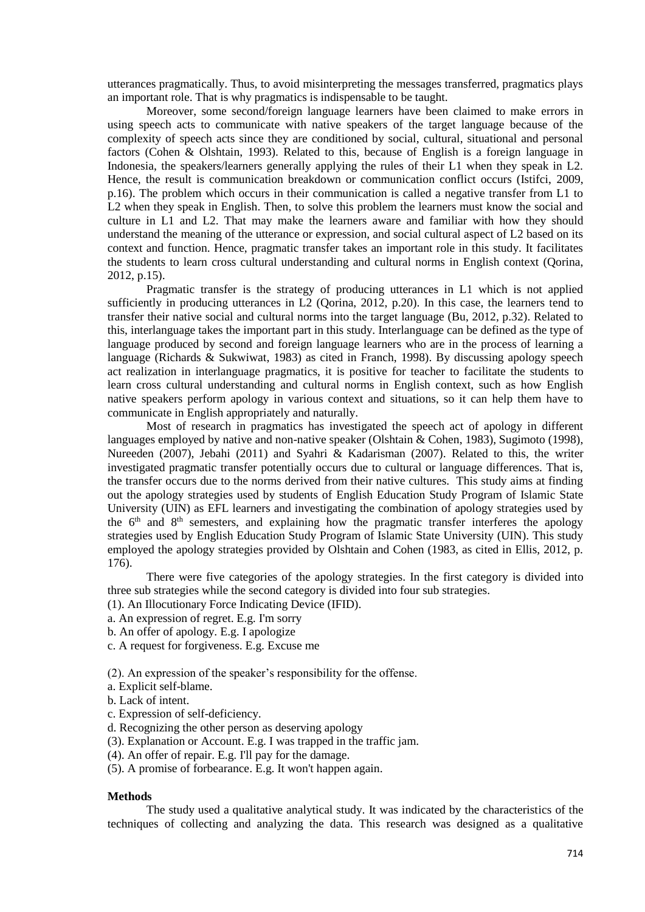utterances pragmatically. Thus, to avoid misinterpreting the messages transferred, pragmatics plays an important role. That is why pragmatics is indispensable to be taught.

Moreover, some second/foreign language learners have been claimed to make errors in using speech acts to communicate with native speakers of the target language because of the complexity of speech acts since they are conditioned by social, cultural, situational and personal factors (Cohen & Olshtain, 1993). Related to this, because of English is a foreign language in Indonesia, the speakers/learners generally applying the rules of their L1 when they speak in L2. Hence, the result is communication breakdown or communication conflict occurs (Istifci, 2009, p.16). The problem which occurs in their communication is called a negative transfer from L1 to L2 when they speak in English. Then, to solve this problem the learners must know the social and culture in L1 and L2. That may make the learners aware and familiar with how they should understand the meaning of the utterance or expression, and social cultural aspect of L2 based on its context and function. Hence, pragmatic transfer takes an important role in this study. It facilitates the students to learn cross cultural understanding and cultural norms in English context (Qorina, 2012, p.15).

Pragmatic transfer is the strategy of producing utterances in L1 which is not applied sufficiently in producing utterances in L2 (Qorina, 2012, p.20). In this case, the learners tend to transfer their native social and cultural norms into the target language (Bu, 2012, p.32). Related to this, interlanguage takes the important part in this study. Interlanguage can be defined as the type of language produced by second and foreign language learners who are in the process of learning a language (Richards & Sukwiwat, 1983) as cited in Franch, 1998). By discussing apology speech act realization in interlanguage pragmatics, it is positive for teacher to facilitate the students to learn cross cultural understanding and cultural norms in English context, such as how English native speakers perform apology in various context and situations, so it can help them have to communicate in English appropriately and naturally.

Most of research in pragmatics has investigated the speech act of apology in different languages employed by native and non-native speaker (Olshtain & Cohen, 1983), Sugimoto (1998), Nureeden (2007), Jebahi (2011) and Syahri & Kadarisman (2007). Related to this, the writer investigated pragmatic transfer potentially occurs due to cultural or language differences. That is, the transfer occurs due to the norms derived from their native cultures. This study aims at finding out the apology strategies used by students of English Education Study Program of Islamic State University (UIN) as EFL learners and investigating the combination of apology strategies used by the  $6<sup>th</sup>$  and  $8<sup>th</sup>$  semesters, and explaining how the pragmatic transfer interferes the apology strategies used by English Education Study Program of Islamic State University (UIN). This study employed the apology strategies provided by Olshtain and Cohen (1983, as cited in Ellis, 2012, p. 176).

There were five categories of the apology strategies. In the first category is divided into three sub strategies while the second category is divided into four sub strategies.

(1). An Illocutionary Force Indicating Device (IFID).

- a. An expression of regret. E.g. I'm sorry
- b. An offer of apology. E.g. I apologize
- c. A request for forgiveness. E.g. Excuse me

(2). An expression of the speaker's responsibility for the offense.

- a. Explicit self-blame.
- b. Lack of intent.
- c. Expression of self-deficiency.
- d. Recognizing the other person as deserving apology
- (3). Explanation or Account. E.g. I was trapped in the traffic jam.
- (4). An offer of repair. E.g. I'll pay for the damage.
- (5). A promise of forbearance. E.g. It won't happen again.

#### **Methods**

The study used a qualitative analytical study. It was indicated by the characteristics of the techniques of collecting and analyzing the data. This research was designed as a qualitative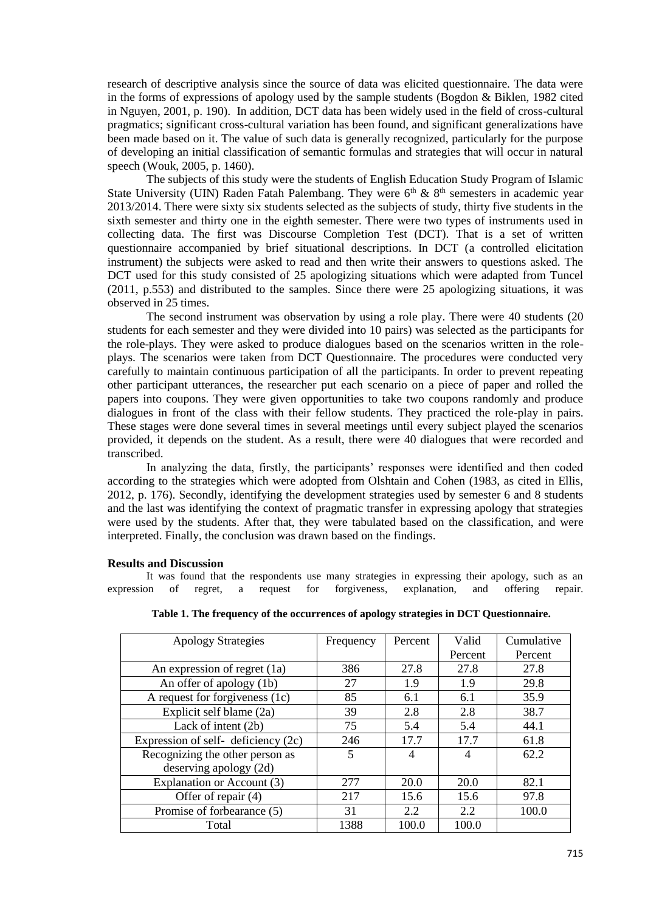research of descriptive analysis since the source of data was elicited questionnaire. The data were in the forms of expressions of apology used by the sample students (Bogdon & Biklen, 1982 cited in Nguyen, 2001, p. 190). In addition, DCT data has been widely used in the field of cross-cultural pragmatics; significant cross-cultural variation has been found, and significant generalizations have been made based on it. The value of such data is generally recognized, particularly for the purpose of developing an initial classification of semantic formulas and strategies that will occur in natural speech (Wouk, 2005, p. 1460).

The subjects of this study were the students of English Education Study Program of Islamic State University (UIN) Raden Fatah Palembang. They were  $6<sup>th</sup> \& 8<sup>th</sup>$  semesters in academic year 2013/2014. There were sixty six students selected as the subjects of study, thirty five students in the sixth semester and thirty one in the eighth semester. There were two types of instruments used in collecting data. The first was Discourse Completion Test (DCT). That is a set of written questionnaire accompanied by brief situational descriptions. In DCT (a controlled elicitation instrument) the subjects were asked to read and then write their answers to questions asked. The DCT used for this study consisted of 25 apologizing situations which were adapted from Tuncel (2011, p.553) and distributed to the samples. Since there were 25 apologizing situations, it was observed in 25 times.

The second instrument was observation by using a role play. There were 40 students (20 students for each semester and they were divided into 10 pairs) was selected as the participants for the role-plays. They were asked to produce dialogues based on the scenarios written in the roleplays. The scenarios were taken from DCT Questionnaire. The procedures were conducted very carefully to maintain continuous participation of all the participants. In order to prevent repeating other participant utterances, the researcher put each scenario on a piece of paper and rolled the papers into coupons. They were given opportunities to take two coupons randomly and produce dialogues in front of the class with their fellow students. They practiced the role-play in pairs. These stages were done several times in several meetings until every subject played the scenarios provided, it depends on the student. As a result, there were 40 dialogues that were recorded and transcribed.

In analyzing the data, firstly, the participants' responses were identified and then coded according to the strategies which were adopted from Olshtain and Cohen (1983, as cited in Ellis, 2012, p. 176). Secondly, identifying the development strategies used by semester 6 and 8 students and the last was identifying the context of pragmatic transfer in expressing apology that strategies were used by the students. After that, they were tabulated based on the classification, and were interpreted. Finally, the conclusion was drawn based on the findings.

## **Results and Discussion**

It was found that the respondents use many strategies in expressing their apology, such as an expression of regret, a request for forgiveness, explanation, and offering repair.

| <b>Apology Strategies</b>             | Frequency | Percent        | Valid   | Cumulative |
|---------------------------------------|-----------|----------------|---------|------------|
|                                       |           |                | Percent | Percent    |
| An expression of regret (1a)          | 386       | 27.8           | 27.8    | 27.8       |
| An offer of apology (1b)              | 27        | 1.9            | 1.9     | 29.8       |
| A request for forgiveness (1c)        | 85        | 6.1            | 6.1     | 35.9       |
| Explicit self blame (2a)              | 39        | 2.8            | 2.8     | 38.7       |
| Lack of intent $(2b)$                 | 75        | 5.4            | 5.4     | 44.1       |
| Expression of self- deficiency $(2c)$ | 246       | 17.7           | 17.7    | 61.8       |
| Recognizing the other person as       | 5         | $\overline{4}$ | 4       | 62.2       |
| deserving apology (2d)                |           |                |         |            |
| Explanation or Account (3)            | 277       | 20.0           | 20.0    | 82.1       |
| Offer of repair (4)                   | 217       | 15.6           | 15.6    | 97.8       |
| Promise of forbearance (5)            | 31        | 2.2            | 2.2     | 100.0      |
| Total                                 | 1388      | 100.0          | 100.0   |            |

|  | Table 1. The frequency of the occurrences of apology strategies in DCT Questionnaire. |  |  |
|--|---------------------------------------------------------------------------------------|--|--|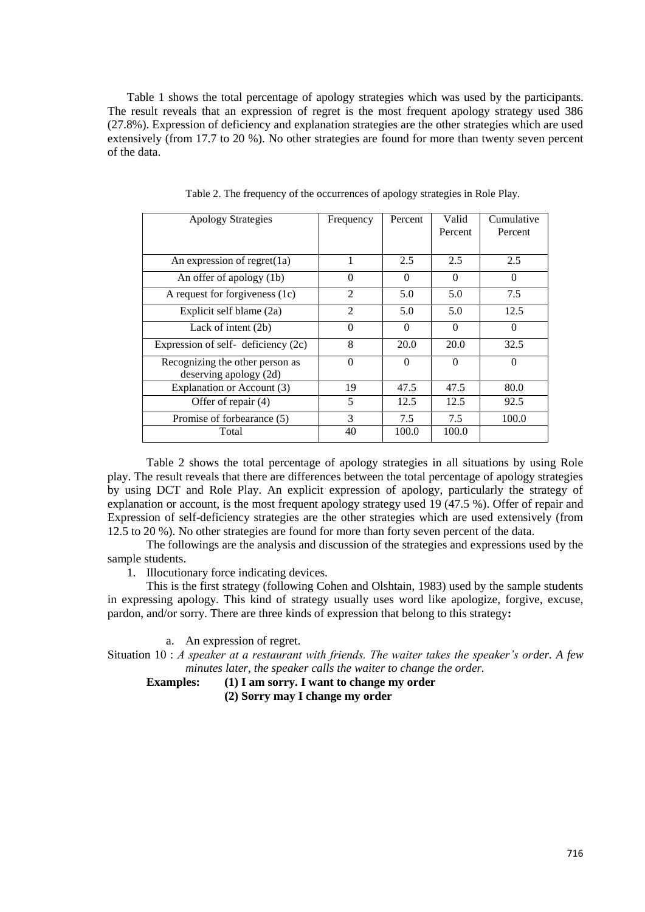Table 1 shows the total percentage of apology strategies which was used by the participants. The result reveals that an expression of regret is the most frequent apology strategy used 386 (27.8%). Expression of deficiency and explanation strategies are the other strategies which are used extensively (from 17.7 to 20 %). No other strategies are found for more than twenty seven percent of the data.

| <b>Apology Strategies</b>                                 | Frequency      | Percent  | Valid<br>Percent | Cumulative<br>Percent |
|-----------------------------------------------------------|----------------|----------|------------------|-----------------------|
| An expression of regret(1a)                               | 1              | 2.5      | 2.5              | 2.5                   |
| An offer of apology (1b)                                  | 0              | $\Omega$ | $\Omega$         | $\Omega$              |
| A request for forgiveness (1c)                            | $\overline{2}$ | 5.0      | 5.0              | 7.5                   |
| Explicit self blame (2a)                                  | $\overline{2}$ | 5.0      | 5.0              | 12.5                  |
| Lack of intent $(2b)$                                     | $\Omega$       | $\Omega$ | $\Omega$         | $\Omega$              |
| Expression of self-deficiency $(2c)$                      | 8              | 20.0     | 20.0             | 32.5                  |
| Recognizing the other person as<br>deserving apology (2d) | $\theta$       | $\Omega$ | $\Omega$         | $\theta$              |
| Explanation or Account (3)                                | 19             | 47.5     | 47.5             | 80.0                  |
| Offer of repair (4)                                       | 5              | 12.5     | 12.5             | 92.5                  |
| Promise of forbearance (5)                                | 3              | 7.5      | 7.5              | 100.0                 |
| Total                                                     | 40             | 100.0    | 100.0            |                       |

Table 2. The frequency of the occurrences of apology strategies in Role Play.

Table 2 shows the total percentage of apology strategies in all situations by using Role play. The result reveals that there are differences between the total percentage of apology strategies by using DCT and Role Play. An explicit expression of apology, particularly the strategy of explanation or account, is the most frequent apology strategy used 19 (47.5 %). Offer of repair and Expression of self-deficiency strategies are the other strategies which are used extensively (from 12.5 to 20 %). No other strategies are found for more than forty seven percent of the data.

The followings are the analysis and discussion of the strategies and expressions used by the sample students.

1. Illocutionary force indicating devices.

This is the first strategy (following Cohen and Olshtain, 1983) used by the sample students in expressing apology. This kind of strategy usually uses word like apologize, forgive, excuse, pardon, and/or sorry. There are three kinds of expression that belong to this strategy**:** 

a. An expression of regret.

Situation 10 : *A speaker at a restaurant with friends. The waiter takes the speaker's order. A few minutes later, the speaker calls the waiter to change the order.*

**Examples: (1) I am sorry. I want to change my order (2) Sorry may I change my order**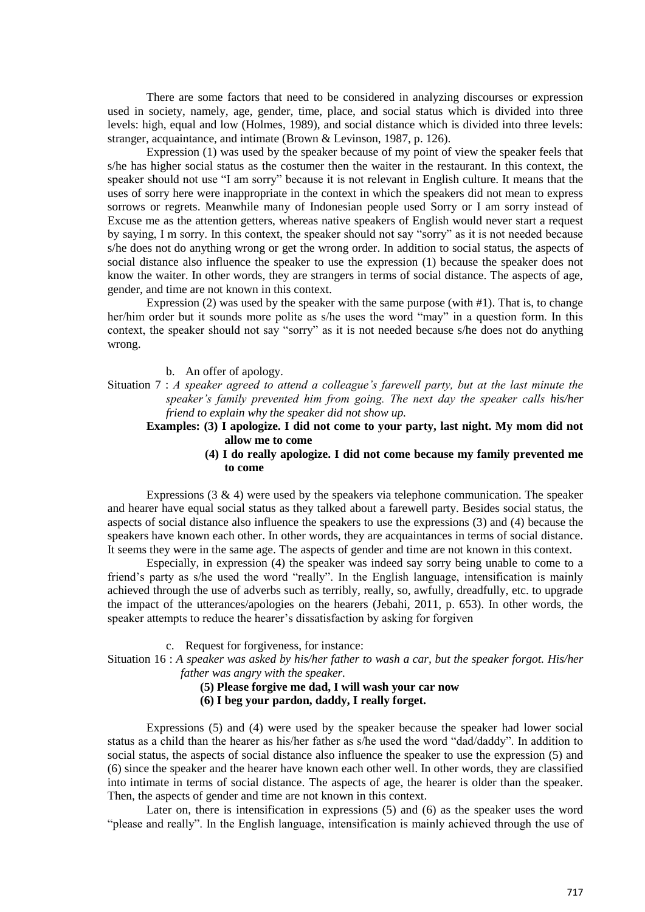There are some factors that need to be considered in analyzing discourses or expression used in society, namely, age, gender, time, place, and social status which is divided into three levels: high, equal and low (Holmes, 1989), and social distance which is divided into three levels: stranger, acquaintance, and intimate (Brown & Levinson, 1987, p. 126).

Expression (1) was used by the speaker because of my point of view the speaker feels that s/he has higher social status as the costumer then the waiter in the restaurant. In this context, the speaker should not use "I am sorry" because it is not relevant in English culture. It means that the uses of sorry here were inappropriate in the context in which the speakers did not mean to express sorrows or regrets. Meanwhile many of Indonesian people used Sorry or I am sorry instead of Excuse me as the attention getters, whereas native speakers of English would never start a request by saying, I m sorry. In this context, the speaker should not say "sorry" as it is not needed because s/he does not do anything wrong or get the wrong order. In addition to social status, the aspects of social distance also influence the speaker to use the expression (1) because the speaker does not know the waiter. In other words, they are strangers in terms of social distance. The aspects of age, gender, and time are not known in this context.

Expression (2) was used by the speaker with the same purpose (with #1). That is, to change her/him order but it sounds more polite as s/he uses the word "may" in a question form. In this context, the speaker should not say "sorry" as it is not needed because s/he does not do anything wrong.

b. An offer of apology.

Situation 7 : *A speaker agreed to attend a colleague's farewell party, but at the last minute the speaker's family prevented him from going. The next day the speaker calls his/her friend to explain why the speaker did not show up.*

**Examples: (3) I apologize. I did not come to your party, last night. My mom did not allow me to come** 

> **(4) I do really apologize. I did not come because my family prevented me to come**

Expressions  $(3 \& 4)$  were used by the speakers via telephone communication. The speaker and hearer have equal social status as they talked about a farewell party. Besides social status, the aspects of social distance also influence the speakers to use the expressions (3) and (4) because the speakers have known each other. In other words, they are acquaintances in terms of social distance. It seems they were in the same age. The aspects of gender and time are not known in this context.

Especially, in expression (4) the speaker was indeed say sorry being unable to come to a friend's party as s/he used the word "really". In the English language, intensification is mainly achieved through the use of adverbs such as terribly, really, so, awfully, dreadfully, etc. to upgrade the impact of the utterances/apologies on the hearers (Jebahi, 2011, p. 653). In other words, the speaker attempts to reduce the hearer's dissatisfaction by asking for forgiven

c. Request for forgiveness, for instance:

Situation 16 : *A speaker was asked by his/her father to wash a car, but the speaker forgot. His/her father was angry with the speaker.*

**(5) Please forgive me dad, I will wash your car now** 

**(6) I beg your pardon, daddy, I really forget.** 

Expressions (5) and (4) were used by the speaker because the speaker had lower social status as a child than the hearer as his/her father as s/he used the word "dad/daddy". In addition to social status, the aspects of social distance also influence the speaker to use the expression (5) and (6) since the speaker and the hearer have known each other well. In other words, they are classified into intimate in terms of social distance. The aspects of age, the hearer is older than the speaker. Then, the aspects of gender and time are not known in this context.

Later on, there is intensification in expressions (5) and (6) as the speaker uses the word "please and really". In the English language, intensification is mainly achieved through the use of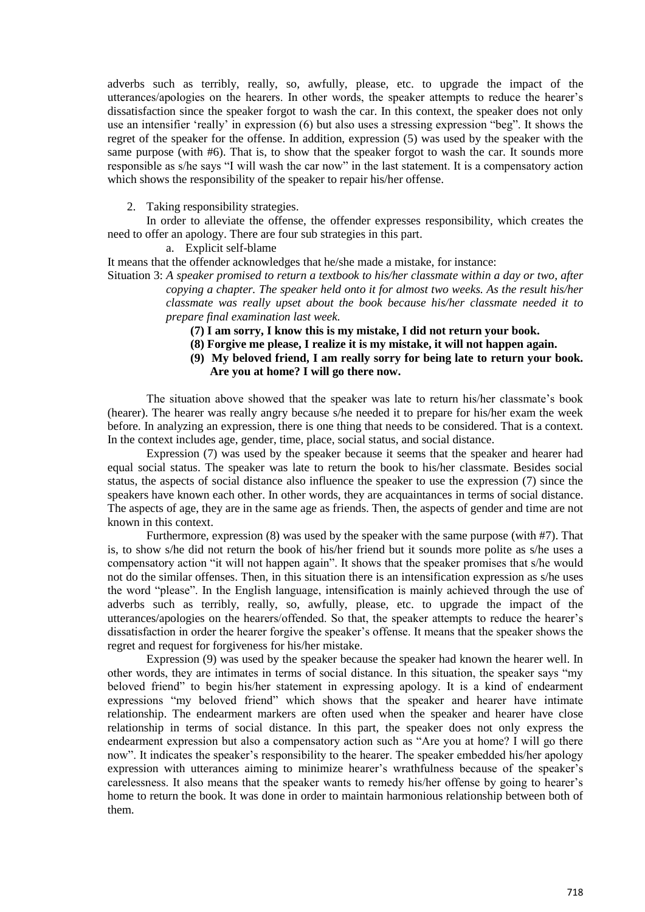adverbs such as terribly, really, so, awfully, please, etc. to upgrade the impact of the utterances/apologies on the hearers. In other words, the speaker attempts to reduce the hearer's dissatisfaction since the speaker forgot to wash the car. In this context, the speaker does not only use an intensifier 'really' in expression (6) but also uses a stressing expression "beg". It shows the regret of the speaker for the offense. In addition, expression (5) was used by the speaker with the same purpose (with #6). That is, to show that the speaker forgot to wash the car. It sounds more responsible as s/he says "I will wash the car now" in the last statement. It is a compensatory action which shows the responsibility of the speaker to repair his/her offense.

2. Taking responsibility strategies.

In order to alleviate the offense, the offender expresses responsibility, which creates the need to offer an apology. There are four sub strategies in this part.

a. Explicit self-blame

It means that the offender acknowledges that he/she made a mistake, for instance:

Situation 3: *A speaker promised to return a textbook to his/her classmate within a day or two, after copying a chapter. The speaker held onto it for almost two weeks. As the result his/her classmate was really upset about the book because his/her classmate needed it to prepare final examination last week.*

- **(7) I am sorry, I know this is my mistake, I did not return your book.**
- **(8) Forgive me please, I realize it is my mistake, it will not happen again.**
- **(9) My beloved friend, I am really sorry for being late to return your book. Are you at home? I will go there now.**

The situation above showed that the speaker was late to return his/her classmate's book (hearer). The hearer was really angry because s/he needed it to prepare for his/her exam the week before. In analyzing an expression, there is one thing that needs to be considered. That is a context. In the context includes age, gender, time, place, social status, and social distance.

Expression (7) was used by the speaker because it seems that the speaker and hearer had equal social status. The speaker was late to return the book to his/her classmate. Besides social status, the aspects of social distance also influence the speaker to use the expression (7) since the speakers have known each other. In other words, they are acquaintances in terms of social distance. The aspects of age, they are in the same age as friends. Then, the aspects of gender and time are not known in this context.

Furthermore, expression (8) was used by the speaker with the same purpose (with #7). That is, to show s/he did not return the book of his/her friend but it sounds more polite as s/he uses a compensatory action "it will not happen again". It shows that the speaker promises that s/he would not do the similar offenses. Then, in this situation there is an intensification expression as s/he uses the word "please". In the English language, intensification is mainly achieved through the use of adverbs such as terribly, really, so, awfully, please, etc. to upgrade the impact of the utterances/apologies on the hearers/offended. So that, the speaker attempts to reduce the hearer's dissatisfaction in order the hearer forgive the speaker's offense. It means that the speaker shows the regret and request for forgiveness for his/her mistake.

Expression (9) was used by the speaker because the speaker had known the hearer well. In other words, they are intimates in terms of social distance. In this situation, the speaker says "my beloved friend" to begin his/her statement in expressing apology. It is a kind of endearment expressions "my beloved friend" which shows that the speaker and hearer have intimate relationship. The endearment markers are often used when the speaker and hearer have close relationship in terms of social distance. In this part, the speaker does not only express the endearment expression but also a compensatory action such as "Are you at home? I will go there now". It indicates the speaker's responsibility to the hearer. The speaker embedded his/her apology expression with utterances aiming to minimize hearer's wrathfulness because of the speaker's carelessness. It also means that the speaker wants to remedy his/her offense by going to hearer's home to return the book. It was done in order to maintain harmonious relationship between both of them.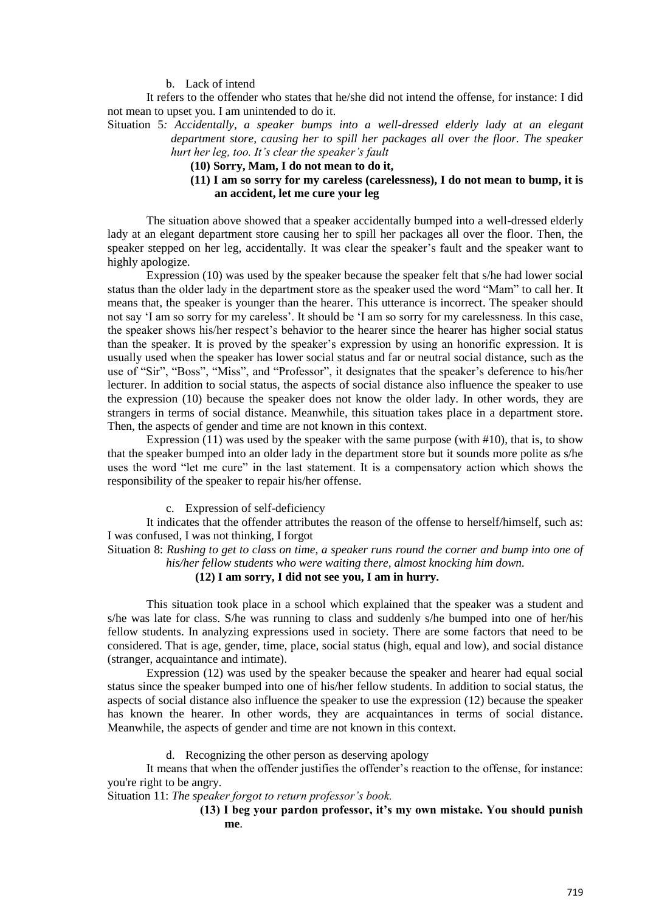b. Lack of intend

It refers to the offender who states that he/she did not intend the offense, for instance: I did not mean to upset you. I am unintended to do it.

Situation 5*: Accidentally, a speaker bumps into a well-dressed elderly lady at an elegant department store, causing her to spill her packages all over the floor. The speaker hurt her leg, too. It's clear the speaker's fault* 

**(10) Sorry, Mam, I do not mean to do it,**

## **(11) I am so sorry for my careless (carelessness), I do not mean to bump, it is an accident, let me cure your leg**

The situation above showed that a speaker accidentally bumped into a well-dressed elderly lady at an elegant department store causing her to spill her packages all over the floor. Then, the speaker stepped on her leg, accidentally. It was clear the speaker's fault and the speaker want to highly apologize.

Expression (10) was used by the speaker because the speaker felt that s/he had lower social status than the older lady in the department store as the speaker used the word "Mam" to call her. It means that, the speaker is younger than the hearer. This utterance is incorrect. The speaker should not say 'I am so sorry for my careless'. It should be 'I am so sorry for my carelessness. In this case, the speaker shows his/her respect's behavior to the hearer since the hearer has higher social status than the speaker. It is proved by the speaker's expression by using an honorific expression. It is usually used when the speaker has lower social status and far or neutral social distance, such as the use of "Sir", "Boss", "Miss", and "Professor", it designates that the speaker's deference to his/her lecturer. In addition to social status, the aspects of social distance also influence the speaker to use the expression (10) because the speaker does not know the older lady. In other words, they are strangers in terms of social distance. Meanwhile, this situation takes place in a department store. Then, the aspects of gender and time are not known in this context.

Expression  $(11)$  was used by the speaker with the same purpose (with #10), that is, to show that the speaker bumped into an older lady in the department store but it sounds more polite as s/he uses the word "let me cure" in the last statement. It is a compensatory action which shows the responsibility of the speaker to repair his/her offense.

c. Expression of self-deficiency

It indicates that the offender attributes the reason of the offense to herself/himself, such as: I was confused, I was not thinking, I forgot

Situation 8: *Rushing to get to class on time, a speaker runs round the corner and bump into one of his/her fellow students who were waiting there, almost knocking him down.* 

## **(12) I am sorry, I did not see you, I am in hurry.**

This situation took place in a school which explained that the speaker was a student and s/he was late for class. S/he was running to class and suddenly s/he bumped into one of her/his fellow students. In analyzing expressions used in society. There are some factors that need to be considered. That is age, gender, time, place, social status (high, equal and low), and social distance (stranger, acquaintance and intimate).

Expression (12) was used by the speaker because the speaker and hearer had equal social status since the speaker bumped into one of his/her fellow students. In addition to social status, the aspects of social distance also influence the speaker to use the expression (12) because the speaker has known the hearer. In other words, they are acquaintances in terms of social distance. Meanwhile, the aspects of gender and time are not known in this context.

d. Recognizing the other person as deserving apology

It means that when the offender justifies the offender's reaction to the offense, for instance: you're right to be angry.

Situation 11: *The speaker forgot to return professor's book.* 

# **(13) I beg your pardon professor, it's my own mistake. You should punish me**.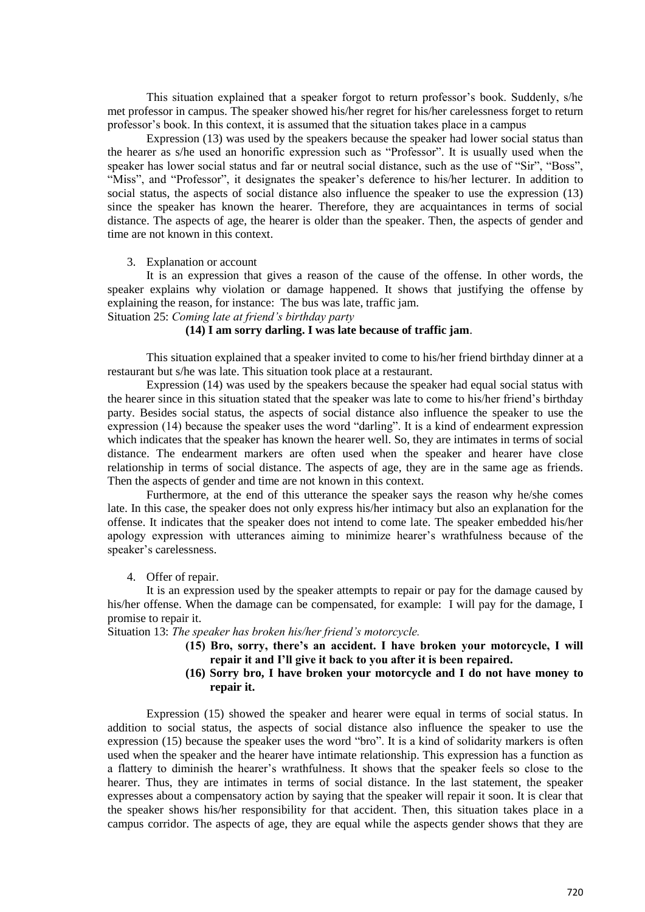This situation explained that a speaker forgot to return professor's book. Suddenly, s/he met professor in campus. The speaker showed his/her regret for his/her carelessness forget to return professor's book. In this context, it is assumed that the situation takes place in a campus

Expression (13) was used by the speakers because the speaker had lower social status than the hearer as s/he used an honorific expression such as "Professor". It is usually used when the speaker has lower social status and far or neutral social distance, such as the use of "Sir", "Boss", "Miss", and "Professor", it designates the speaker's deference to his/her lecturer. In addition to social status, the aspects of social distance also influence the speaker to use the expression (13) since the speaker has known the hearer. Therefore, they are acquaintances in terms of social distance. The aspects of age, the hearer is older than the speaker. Then, the aspects of gender and time are not known in this context.

## 3. Explanation or account

It is an expression that gives a reason of the cause of the offense. In other words, the speaker explains why violation or damage happened. It shows that justifying the offense by explaining the reason, for instance: The bus was late, traffic jam.

Situation 25: *Coming late at friend's birthday party*

# **(14) I am sorry darling. I was late because of traffic jam**.

This situation explained that a speaker invited to come to his/her friend birthday dinner at a restaurant but s/he was late. This situation took place at a restaurant.

Expression (14) was used by the speakers because the speaker had equal social status with the hearer since in this situation stated that the speaker was late to come to his/her friend's birthday party. Besides social status, the aspects of social distance also influence the speaker to use the expression (14) because the speaker uses the word "darling". It is a kind of endearment expression which indicates that the speaker has known the hearer well. So, they are intimates in terms of social distance. The endearment markers are often used when the speaker and hearer have close relationship in terms of social distance. The aspects of age, they are in the same age as friends. Then the aspects of gender and time are not known in this context.

Furthermore, at the end of this utterance the speaker says the reason why he/she comes late. In this case, the speaker does not only express his/her intimacy but also an explanation for the offense. It indicates that the speaker does not intend to come late. The speaker embedded his/her apology expression with utterances aiming to minimize hearer's wrathfulness because of the speaker's carelessness.

## 4. Offer of repair.

It is an expression used by the speaker attempts to repair or pay for the damage caused by his/her offense. When the damage can be compensated, for example: I will pay for the damage, I promise to repair it.

Situation 13: *The speaker has broken his/her friend's motorcycle.*

- **(15) Bro, sorry, there's an accident. I have broken your motorcycle, I will repair it and I'll give it back to you after it is been repaired.**
- **(16) Sorry bro, I have broken your motorcycle and I do not have money to repair it.**

Expression (15) showed the speaker and hearer were equal in terms of social status. In addition to social status, the aspects of social distance also influence the speaker to use the expression (15) because the speaker uses the word "bro". It is a kind of solidarity markers is often used when the speaker and the hearer have intimate relationship. This expression has a function as a flattery to diminish the hearer's wrathfulness. It shows that the speaker feels so close to the hearer. Thus, they are intimates in terms of social distance. In the last statement, the speaker expresses about a compensatory action by saying that the speaker will repair it soon. It is clear that the speaker shows his/her responsibility for that accident. Then, this situation takes place in a campus corridor. The aspects of age, they are equal while the aspects gender shows that they are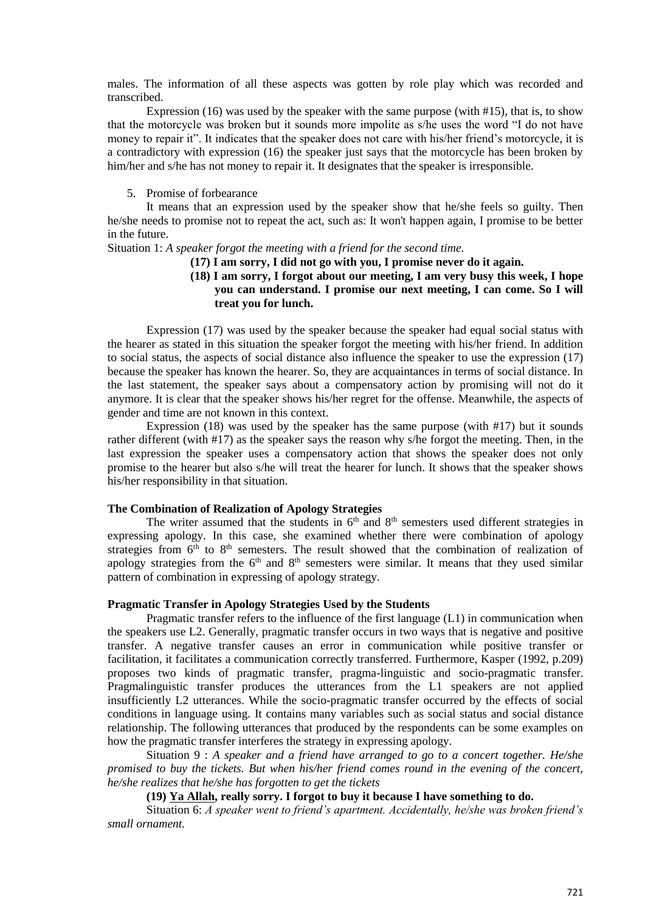males. The information of all these aspects was gotten by role play which was recorded and transcribed.

Expression (16) was used by the speaker with the same purpose (with #15), that is, to show that the motorcycle was broken but it sounds more impolite as s/he uses the word "I do not have money to repair it". It indicates that the speaker does not care with his/her friend's motorcycle, it is a contradictory with expression (16) the speaker just says that the motorcycle has been broken by him/her and s/he has not money to repair it. It designates that the speaker is irresponsible.

#### 5. Promise of forbearance

It means that an expression used by the speaker show that he/she feels so guilty. Then he/she needs to promise not to repeat the act, such as: It won't happen again, I promise to be better in the future.

# Situation 1: *A speaker forgot the meeting with a friend for the second time.*

## **(17) I am sorry, I did not go with you, I promise never do it again.**

## **(18) I am sorry, I forgot about our meeting, I am very busy this week, I hope you can understand. I promise our next meeting, I can come. So I will treat you for lunch.**

Expression (17) was used by the speaker because the speaker had equal social status with the hearer as stated in this situation the speaker forgot the meeting with his/her friend. In addition to social status, the aspects of social distance also influence the speaker to use the expression (17) because the speaker has known the hearer. So, they are acquaintances in terms of social distance. In the last statement, the speaker says about a compensatory action by promising will not do it anymore. It is clear that the speaker shows his/her regret for the offense. Meanwhile, the aspects of gender and time are not known in this context.

Expression  $(18)$  was used by the speaker has the same purpose (with  $#17$ ) but it sounds rather different (with #17) as the speaker says the reason why s/he forgot the meeting. Then, in the last expression the speaker uses a compensatory action that shows the speaker does not only promise to the hearer but also s/he will treat the hearer for lunch. It shows that the speaker shows his/her responsibility in that situation.

# **The Combination of Realization of Apology Strategies**

The writer assumed that the students in  $6<sup>th</sup>$  and  $8<sup>th</sup>$  semesters used different strategies in expressing apology. In this case, she examined whether there were combination of apology strategies from  $6<sup>th</sup>$  to  $8<sup>th</sup>$  semesters. The result showed that the combination of realization of apology strategies from the  $6<sup>th</sup>$  and  $8<sup>th</sup>$  semesters were similar. It means that they used similar pattern of combination in expressing of apology strategy.

#### **Pragmatic Transfer in Apology Strategies Used by the Students**

Pragmatic transfer refers to the influence of the first language  $(L1)$  in communication when the speakers use L2. Generally, pragmatic transfer occurs in two ways that is negative and positive transfer. A negative transfer causes an error in communication while positive transfer or facilitation, it facilitates a communication correctly transferred. Furthermore, Kasper (1992, p.209) proposes two kinds of pragmatic transfer, pragma-linguistic and socio-pragmatic transfer. Pragmalinguistic transfer produces the utterances from the L1 speakers are not applied insufficiently L2 utterances. While the socio-pragmatic transfer occurred by the effects of social conditions in language using. It contains many variables such as social status and social distance relationship. The following utterances that produced by the respondents can be some examples on how the pragmatic transfer interferes the strategy in expressing apology.

Situation 9 : *A speaker and a friend have arranged to go to a concert together. He/she promised to buy the tickets. But when his/her friend comes round in the evening of the concert, he/she realizes that he/she has forgotten to get the tickets*

## **(19) Ya Allah, really sorry. I forgot to buy it because I have something to do.**

Situation 6: *A speaker went to friend's apartment. Accidentally, he/she was broken friend's small ornament.*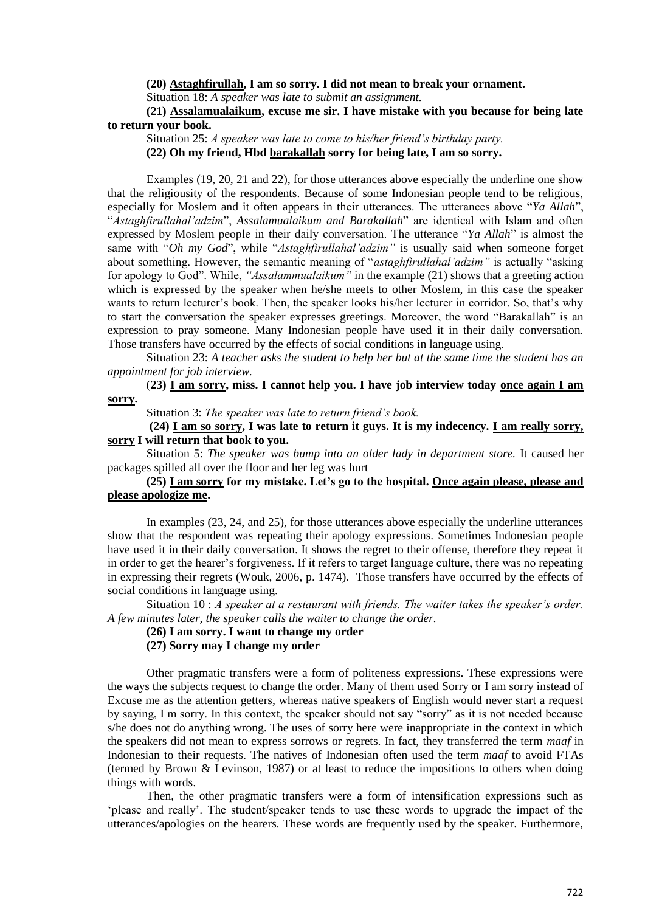## **(20) Astaghfirullah, I am so sorry. I did not mean to break your ornament.**

Situation 18: *A speaker was late to submit an assignment.*

## **(21) Assalamualaikum, excuse me sir. I have mistake with you because for being late to return your book.**

Situation 25: *A speaker was late to come to his/her friend's birthday party.* **(22) Oh my friend, Hbd barakallah sorry for being late, I am so sorry.**

Examples (19, 20, 21 and 22), for those utterances above especially the underline one show that the religiousity of the respondents. Because of some Indonesian people tend to be religious, especially for Moslem and it often appears in their utterances. The utterances above "*Ya Allah*", "*Astaghfirullahal'adzim*", *Assalamualaikum and Barakallah*" are identical with Islam and often expressed by Moslem people in their daily conversation. The utterance "*Ya Allah*" is almost the same with "*Oh my God*", while "*Astaghfirullahal'adzim"* is usually said when someone forget about something. However, the semantic meaning of "*astaghfirullahal'adzim"* is actually "asking for apology to God". While, *"Assalammualaikum"* in the example (21) shows that a greeting action which is expressed by the speaker when he/she meets to other Moslem, in this case the speaker wants to return lecturer's book. Then, the speaker looks his/her lecturer in corridor. So, that's why to start the conversation the speaker expresses greetings. Moreover, the word "Barakallah" is an expression to pray someone. Many Indonesian people have used it in their daily conversation. Those transfers have occurred by the effects of social conditions in language using.

Situation 23: *A teacher asks the student to help her but at the same time the student has an appointment for job interview.*

(**23) I am sorry, miss. I cannot help you. I have job interview today once again I am sorry.**

Situation 3: *The speaker was late to return friend's book.*

**(24) I am so sorry, I was late to return it guys. It is my indecency. I am really sorry, sorry I will return that book to you.**

Situation 5: *The speaker was bump into an older lady in department store.* It caused her packages spilled all over the floor and her leg was hurt

## **(25) I am sorry for my mistake. Let's go to the hospital. Once again please, please and please apologize me.**

In examples (23, 24, and 25), for those utterances above especially the underline utterances show that the respondent was repeating their apology expressions. Sometimes Indonesian people have used it in their daily conversation. It shows the regret to their offense, therefore they repeat it in order to get the hearer's forgiveness. If it refers to target language culture, there was no repeating in expressing their regrets (Wouk, 2006, p. 1474). Those transfers have occurred by the effects of social conditions in language using.

Situation 10 : *A speaker at a restaurant with friends. The waiter takes the speaker's order. A few minutes later, the speaker calls the waiter to change the order.*

**(26) I am sorry. I want to change my order** 

## **(27) Sorry may I change my order**

Other pragmatic transfers were a form of politeness expressions. These expressions were the ways the subjects request to change the order. Many of them used Sorry or I am sorry instead of Excuse me as the attention getters, whereas native speakers of English would never start a request by saying, I m sorry. In this context, the speaker should not say "sorry" as it is not needed because s/he does not do anything wrong. The uses of sorry here were inappropriate in the context in which the speakers did not mean to express sorrows or regrets. In fact, they transferred the term *maaf* in Indonesian to their requests. The natives of Indonesian often used the term *maaf* to avoid FTAs (termed by Brown & Levinson, 1987) or at least to reduce the impositions to others when doing things with words.

Then, the other pragmatic transfers were a form of intensification expressions such as 'please and really'. The student/speaker tends to use these words to upgrade the impact of the utterances/apologies on the hearers. These words are frequently used by the speaker. Furthermore,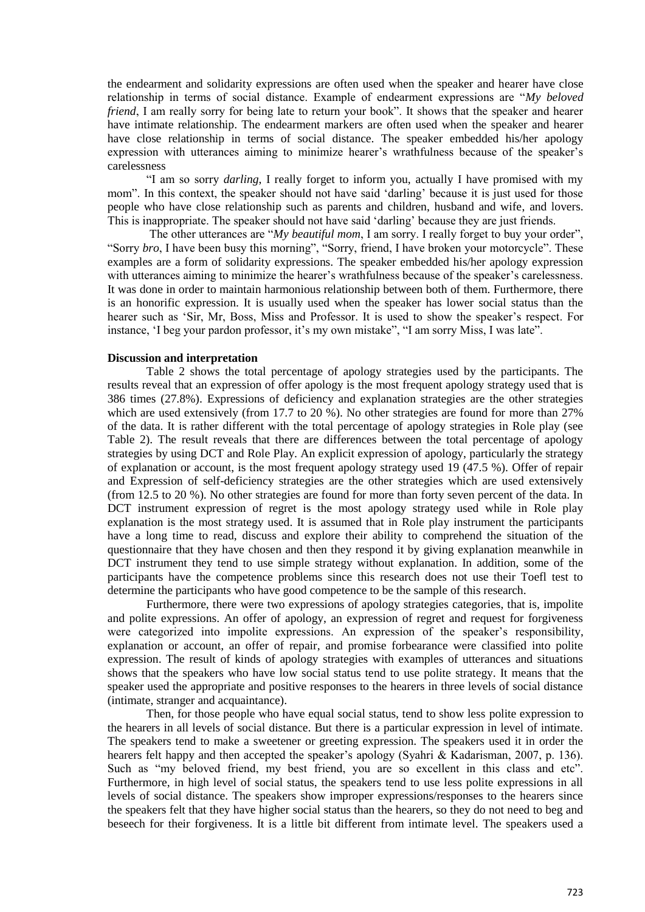the endearment and solidarity expressions are often used when the speaker and hearer have close relationship in terms of social distance. Example of endearment expressions are "*My beloved friend*, I am really sorry for being late to return your book". It shows that the speaker and hearer have intimate relationship. The endearment markers are often used when the speaker and hearer have close relationship in terms of social distance. The speaker embedded his/her apology expression with utterances aiming to minimize hearer's wrathfulness because of the speaker's carelessness

"I am so sorry *darling*, I really forget to inform you, actually I have promised with my mom". In this context, the speaker should not have said 'darling' because it is just used for those people who have close relationship such as parents and children, husband and wife, and lovers. This is inappropriate. The speaker should not have said 'darling' because they are just friends.

The other utterances are "*My beautiful mom*, I am sorry. I really forget to buy your order", "Sorry *bro*, I have been busy this morning", "Sorry, friend, I have broken your motorcycle". These examples are a form of solidarity expressions. The speaker embedded his/her apology expression with utterances aiming to minimize the hearer's wrathfulness because of the speaker's carelessness. It was done in order to maintain harmonious relationship between both of them. Furthermore, there is an honorific expression. It is usually used when the speaker has lower social status than the hearer such as 'Sir, Mr, Boss, Miss and Professor. It is used to show the speaker's respect. For instance, 'I beg your pardon professor, it's my own mistake", "I am sorry Miss, I was late".

#### **Discussion and interpretation**

Table 2 shows the total percentage of apology strategies used by the participants. The results reveal that an expression of offer apology is the most frequent apology strategy used that is 386 times (27.8%). Expressions of deficiency and explanation strategies are the other strategies which are used extensively (from 17.7 to 20 %). No other strategies are found for more than 27% of the data. It is rather different with the total percentage of apology strategies in Role play (see Table 2). The result reveals that there are differences between the total percentage of apology strategies by using DCT and Role Play. An explicit expression of apology, particularly the strategy of explanation or account, is the most frequent apology strategy used 19 (47.5 %). Offer of repair and Expression of self-deficiency strategies are the other strategies which are used extensively (from 12.5 to 20 %). No other strategies are found for more than forty seven percent of the data. In DCT instrument expression of regret is the most apology strategy used while in Role play explanation is the most strategy used. It is assumed that in Role play instrument the participants have a long time to read, discuss and explore their ability to comprehend the situation of the questionnaire that they have chosen and then they respond it by giving explanation meanwhile in DCT instrument they tend to use simple strategy without explanation. In addition, some of the participants have the competence problems since this research does not use their Toefl test to determine the participants who have good competence to be the sample of this research.

Furthermore, there were two expressions of apology strategies categories, that is, impolite and polite expressions. An offer of apology, an expression of regret and request for forgiveness were categorized into impolite expressions. An expression of the speaker's responsibility, explanation or account, an offer of repair, and promise forbearance were classified into polite expression. The result of kinds of apology strategies with examples of utterances and situations shows that the speakers who have low social status tend to use polite strategy. It means that the speaker used the appropriate and positive responses to the hearers in three levels of social distance (intimate, stranger and acquaintance).

Then, for those people who have equal social status, tend to show less polite expression to the hearers in all levels of social distance. But there is a particular expression in level of intimate. The speakers tend to make a sweetener or greeting expression. The speakers used it in order the hearers felt happy and then accepted the speaker's apology (Syahri & Kadarisman, 2007, p. 136). Such as "my beloved friend, my best friend, you are so excellent in this class and etc". Furthermore, in high level of social status, the speakers tend to use less polite expressions in all levels of social distance. The speakers show improper expressions/responses to the hearers since the speakers felt that they have higher social status than the hearers, so they do not need to beg and beseech for their forgiveness. It is a little bit different from intimate level. The speakers used a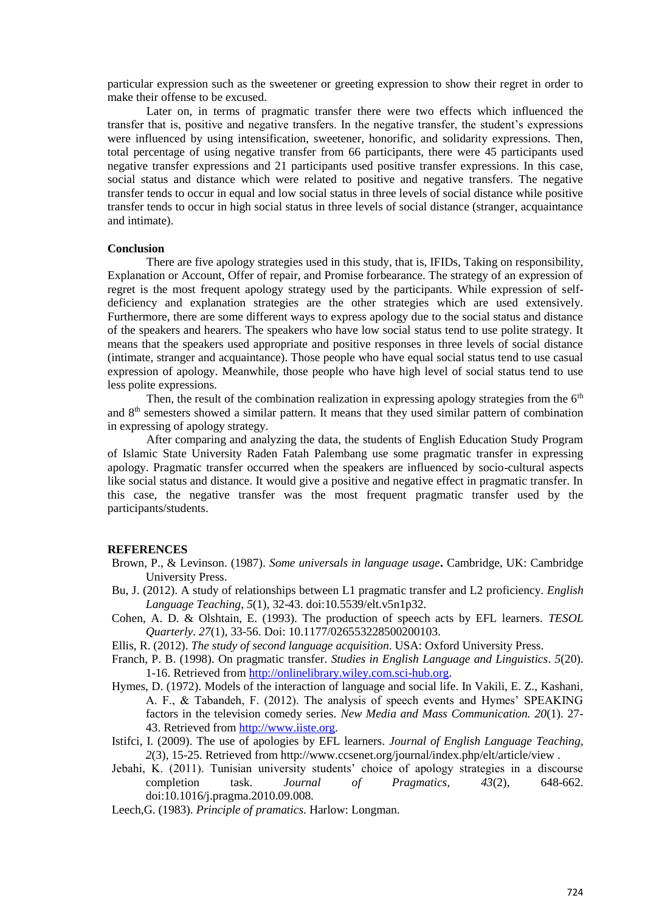particular expression such as the sweetener or greeting expression to show their regret in order to make their offense to be excused.

Later on, in terms of pragmatic transfer there were two effects which influenced the transfer that is, positive and negative transfers. In the negative transfer, the student's expressions were influenced by using intensification, sweetener, honorific, and solidarity expressions. Then, total percentage of using negative transfer from 66 participants, there were 45 participants used negative transfer expressions and 21 participants used positive transfer expressions. In this case, social status and distance which were related to positive and negative transfers. The negative transfer tends to occur in equal and low social status in three levels of social distance while positive transfer tends to occur in high social status in three levels of social distance (stranger, acquaintance and intimate).

#### **Conclusion**

There are five apology strategies used in this study, that is, IFIDs, Taking on responsibility, Explanation or Account, Offer of repair, and Promise forbearance. The strategy of an expression of regret is the most frequent apology strategy used by the participants. While expression of selfdeficiency and explanation strategies are the other strategies which are used extensively. Furthermore, there are some different ways to express apology due to the social status and distance of the speakers and hearers. The speakers who have low social status tend to use polite strategy. It means that the speakers used appropriate and positive responses in three levels of social distance (intimate, stranger and acquaintance). Those people who have equal social status tend to use casual expression of apology. Meanwhile, those people who have high level of social status tend to use less polite expressions.

Then, the result of the combination realization in expressing apology strategies from the  $6<sup>th</sup>$ and 8th semesters showed a similar pattern. It means that they used similar pattern of combination in expressing of apology strategy.

After comparing and analyzing the data, the students of English Education Study Program of Islamic State University Raden Fatah Palembang use some pragmatic transfer in expressing apology. Pragmatic transfer occurred when the speakers are influenced by socio-cultural aspects like social status and distance. It would give a positive and negative effect in pragmatic transfer. In this case, the negative transfer was the most frequent pragmatic transfer used by the participants/students.

#### **REFERENCES**

- Brown, P., & Levinson. (1987). *Some universals in language usage***.** Cambridge, UK: Cambridge University Press.
- Bu, J. (2012). A study of relationships between L1 pragmatic transfer and L2 proficiency. *English Language Teaching*, *5*(1), 32-43. doi:10.5539/elt.v5n1p32.
- Cohen, A. D. & Olshtain, E. (1993). The production of speech acts by EFL learners. *TESOL Quarterly*. *27*(1), 33-56. Doi: 10.1177/026553228500200103.
- Ellis, R. (2012). *The study of second language acquisition*. USA: Oxford University Press.
- Franch, P. B. (1998). On pragmatic transfer. *Studies in English Language and Linguistics*. *5*(20). 1-16. Retrieved from [http://onlinelibrary.wiley.com.sci-hub.org.](http://onlinelibrary.wiley.com.sci-hub.org/)
- Hymes, D. (1972). Models of the interaction of language and social life. In Vakili, E. Z., Kashani, A. F., & Tabandeh, F. (2012). The analysis of speech events and Hymes' SPEAKING factors in the television comedy series. *New Media and Mass Communication. 20*(1). 27- 43. Retrieved from [http://www.iiste.org.](http://www.iiste.org/)
- Istifci, I. (2009). The use of apologies by EFL learners. *Journal of English Language Teaching, 2*(3), 15-25. Retrieved from http://www.ccsenet.org/journal/index.php/elt/article/view .
- Jebahi, K. (2011). Tunisian university students' choice of apology strategies in a discourse completion task. *Journal of Pragmatics, 43*(2), 648-662. doi:10.1016/j.pragma.2010.09.008*.*
- Leech,G. (1983). *Principle of pramatics*. Harlow: Longman.